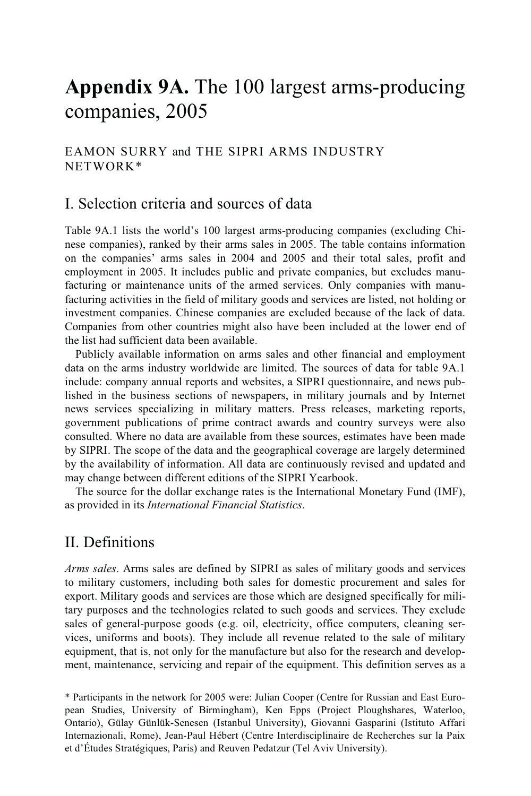# **Appendix 9A.** The 100 largest arms-producing companies, 2005

#### EAMON SURRY and THE SIPRI ARMS INDUSTRY NETWORK\*

### I. Selection criteria and sources of data

Table 9A.1 lists the world's 100 largest arms-producing companies (excluding Chinese companies), ranked by their arms sales in 2005. The table contains information on the companies' arms sales in 2004 and 2005 and their total sales, profit and employment in 2005. It includes public and private companies, but excludes manufacturing or maintenance units of the armed services. Only companies with manufacturing activities in the field of military goods and services are listed, not holding or investment companies. Chinese companies are excluded because of the lack of data. Companies from other countries might also have been included at the lower end of the list had sufficient data been available.

Publicly available information on arms sales and other financial and employment data on the arms industry worldwide are limited. The sources of data for table 9A.1 include: company annual reports and websites, a SIPRI questionnaire, and news published in the business sections of newspapers, in military journals and by Internet news services specializing in military matters. Press releases, marketing reports, government publications of prime contract awards and country surveys were also consulted. Where no data are available from these sources, estimates have been made by SIPRI. The scope of the data and the geographical coverage are largely determined by the availability of information. All data are continuously revised and updated and may change between different editions of the SIPRI Yearbook.

The source for the dollar exchange rates is the International Monetary Fund (IMF), as provided in its *International Financial Statistics*.

## II. Definitions

*Arms sales*. Arms sales are defined by SIPRI as sales of military goods and services to military customers, including both sales for domestic procurement and sales for export. Military goods and services are those which are designed specifically for military purposes and the technologies related to such goods and services. They exclude sales of general-purpose goods (e.g. oil, electricity, office computers, cleaning services, uniforms and boots). They include all revenue related to the sale of military equipment, that is, not only for the manufacture but also for the research and development, maintenance, servicing and repair of the equipment. This definition serves as a

<sup>\*</sup> Participants in the network for 2005 were: Julian Cooper (Centre for Russian and East European Studies, University of Birmingham), Ken Epps (Project Ploughshares, Waterloo, Ontario), Gülay Günlük-Senesen (Istanbul University), Giovanni Gasparini (Istituto Affari Internazionali, Rome), Jean-Paul Hébert (Centre Interdisciplinaire de Recherches sur la Paix et d'Études Stratégiques, Paris) and Reuven Pedatzur (Tel Aviv University).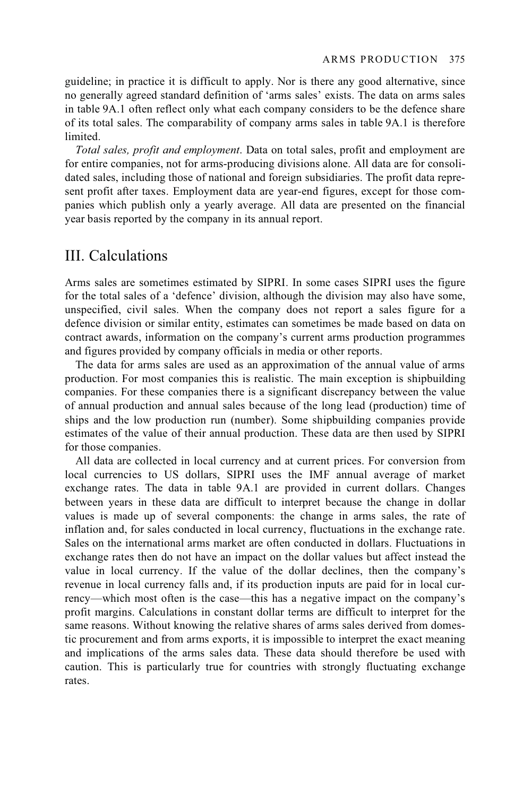guideline; in practice it is difficult to apply. Nor is there any good alternative, since no generally agreed standard definition of 'arms sales' exists. The data on arms sales in table 9A.1 often reflect only what each company considers to be the defence share of its total sales. The comparability of company arms sales in table 9A.1 is therefore limited.

*Total sales, profit and employment*. Data on total sales, profit and employment are for entire companies, not for arms-producing divisions alone. All data are for consolidated sales, including those of national and foreign subsidiaries. The profit data represent profit after taxes. Employment data are year-end figures, except for those companies which publish only a yearly average. All data are presented on the financial year basis reported by the company in its annual report.

### III. Calculations

Arms sales are sometimes estimated by SIPRI. In some cases SIPRI uses the figure for the total sales of a 'defence' division, although the division may also have some, unspecified, civil sales. When the company does not report a sales figure for a defence division or similar entity, estimates can sometimes be made based on data on contract awards, information on the company's current arms production programmes and figures provided by company officials in media or other reports.

The data for arms sales are used as an approximation of the annual value of arms production. For most companies this is realistic. The main exception is shipbuilding companies. For these companies there is a significant discrepancy between the value of annual production and annual sales because of the long lead (production) time of ships and the low production run (number). Some shipbuilding companies provide estimates of the value of their annual production. These data are then used by SIPRI for those companies.

All data are collected in local currency and at current prices. For conversion from local currencies to US dollars, SIPRI uses the IMF annual average of market exchange rates. The data in table 9A.1 are provided in current dollars. Changes between years in these data are difficult to interpret because the change in dollar values is made up of several components: the change in arms sales, the rate of inflation and, for sales conducted in local currency, fluctuations in the exchange rate. Sales on the international arms market are often conducted in dollars. Fluctuations in exchange rates then do not have an impact on the dollar values but affect instead the value in local currency. If the value of the dollar declines, then the company's revenue in local currency falls and, if its production inputs are paid for in local currency—which most often is the case—this has a negative impact on the company's profit margins. Calculations in constant dollar terms are difficult to interpret for the same reasons. Without knowing the relative shares of arms sales derived from domestic procurement and from arms exports, it is impossible to interpret the exact meaning and implications of the arms sales data. These data should therefore be used with caution. This is particularly true for countries with strongly fluctuating exchange rates.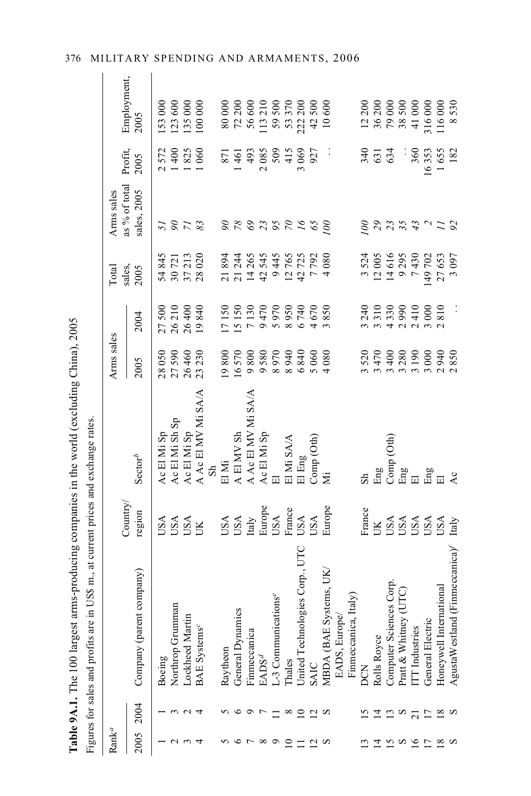| "If areest arms-producing companies in the world (excluding China) |                                                                                                                                                                                                                                |
|--------------------------------------------------------------------|--------------------------------------------------------------------------------------------------------------------------------------------------------------------------------------------------------------------------------|
|                                                                    |                                                                                                                                                                                                                                |
|                                                                    |                                                                                                                                                                                                                                |
|                                                                    |                                                                                                                                                                                                                                |
|                                                                    |                                                                                                                                                                                                                                |
|                                                                    |                                                                                                                                                                                                                                |
|                                                                    |                                                                                                                                                                                                                                |
|                                                                    |                                                                                                                                                                                                                                |
|                                                                    |                                                                                                                                                                                                                                |
|                                                                    |                                                                                                                                                                                                                                |
| $\frac{1}{2}$                                                      |                                                                                                                                                                                                                                |
|                                                                    |                                                                                                                                                                                                                                |
|                                                                    |                                                                                                                                                                                                                                |
|                                                                    |                                                                                                                                                                                                                                |
|                                                                    |                                                                                                                                                                                                                                |
|                                                                    |                                                                                                                                                                                                                                |
|                                                                    |                                                                                                                                                                                                                                |
|                                                                    |                                                                                                                                                                                                                                |
|                                                                    |                                                                                                                                                                                                                                |
|                                                                    |                                                                                                                                                                                                                                |
|                                                                    |                                                                                                                                                                                                                                |
|                                                                    |                                                                                                                                                                                                                                |
|                                                                    |                                                                                                                                                                                                                                |
|                                                                    |                                                                                                                                                                                                                                |
|                                                                    |                                                                                                                                                                                                                                |
|                                                                    |                                                                                                                                                                                                                                |
|                                                                    |                                                                                                                                                                                                                                |
|                                                                    |                                                                                                                                                                                                                                |
|                                                                    |                                                                                                                                                                                                                                |
|                                                                    |                                                                                                                                                                                                                                |
|                                                                    |                                                                                                                                                                                                                                |
|                                                                    |                                                                                                                                                                                                                                |
|                                                                    |                                                                                                                                                                                                                                |
|                                                                    |                                                                                                                                                                                                                                |
|                                                                    |                                                                                                                                                                                                                                |
|                                                                    |                                                                                                                                                                                                                                |
|                                                                    |                                                                                                                                                                                                                                |
|                                                                    |                                                                                                                                                                                                                                |
| The model of the contract                                          |                                                                                                                                                                                                                                |
|                                                                    |                                                                                                                                                                                                                                |
|                                                                    |                                                                                                                                                                                                                                |
|                                                                    |                                                                                                                                                                                                                                |
|                                                                    |                                                                                                                                                                                                                                |
|                                                                    |                                                                                                                                                                                                                                |
|                                                                    |                                                                                                                                                                                                                                |
| ĺ                                                                  |                                                                                                                                                                                                                                |
|                                                                    |                                                                                                                                                                                                                                |
|                                                                    | where the contract of the contract of the contract of the contract of the contract of the contract of the contract of the contract of the contract of the contract of the contract of the contract of the contract of the cont |
|                                                                    |                                                                                                                                                                                                                                |
|                                                                    |                                                                                                                                                                                                                                |
|                                                                    |                                                                                                                                                                                                                                |
|                                                                    |                                                                                                                                                                                                                                |

|                   |                | Figures for sales and profits are in US\$ m., at current prices and exchange rates. |                                               |                               |                                      |                              |                           |                              |                 |                                                                                                   |
|-------------------|----------------|-------------------------------------------------------------------------------------|-----------------------------------------------|-------------------------------|--------------------------------------|------------------------------|---------------------------|------------------------------|-----------------|---------------------------------------------------------------------------------------------------|
| $\mathrm{Rank}^a$ |                |                                                                                     |                                               |                               | Arms sales                           |                              | Total                     | Arms sales                   |                 |                                                                                                   |
| 2005              | 2004           | company)<br>Company (parent                                                         | Country.<br>region                            | $\operatorname{\bf Sector}^b$ | 2005                                 | 2004                         | sales,<br>2005            | as % of total<br>sales, 2005 | Profit,<br>2005 | Employment,<br>2005                                                                               |
|                   |                | Boeing                                                                              | USA                                           | Ac El Mi Sp                   |                                      | 500<br>27                    | 54845                     | 51                           | 2572            | 153 000                                                                                           |
|                   |                | nan<br>Northrop Grumm                                                               | USA                                           | Ac El Mi Sh Sp                |                                      | 26210                        | 30721                     |                              | 1400            |                                                                                                   |
|                   | $\sim$         | Lockheed Martin                                                                     |                                               | Ac El Mi Sp                   |                                      | 26400                        |                           | 273                          | 825             |                                                                                                   |
|                   | 4              | <b>BAE</b> Systems <sup>c</sup>                                                     | <b>USA</b><br>UK                              | A Ac El MV Mi SA/A            | 28 050<br>27 590<br>26 460<br>23 230 | 840<br>$\overline{19}$       | 37213                     |                              | 1060            | $123600$<br>$135000$<br>$100000$                                                                  |
|                   |                |                                                                                     |                                               | S <sub>h</sub>                |                                      |                              |                           |                              |                 |                                                                                                   |
|                   |                | Raytheon                                                                            |                                               | El Mi                         | 19800                                | 17150                        | 21894                     |                              | 871             |                                                                                                   |
|                   | $\circ$        | General Dynamics                                                                    |                                               | A El MV Sh                    | 16570                                | 15150                        | 21 244                    |                              | 461             |                                                                                                   |
|                   | $\circ$        | Finmeccanica                                                                        | USA<br>USA<br>Italy                           | A Ac El MV Mi SA/A            | 9800                                 | 7130                         | 14265                     |                              | 493             |                                                                                                   |
|                   | $\overline{r}$ | EADS <sup>d</sup>                                                                   |                                               | Ac El Mi Sp                   | 9580                                 | 470<br>$\circ$               | 42545                     |                              | 2085            |                                                                                                   |
|                   |                | -3 Communications <sup>e</sup>                                                      | Europe<br>USA                                 | 同                             | 8970                                 | 970<br>$\sim$                |                           | 9692955                      | 509             | 80 000<br>72 200<br>72 30 600<br>59 500<br>13 37 200<br>500<br>42 500                             |
| $\Xi$             | $^{\circ}$     | Thales                                                                              | France                                        | El Mi SA/A                    | 8940                                 | 950<br>$\infty$              | 9 445<br>12 765<br>42 725 |                              | 415             |                                                                                                   |
|                   | $\subseteq$    | United Technologies Corp., UTC                                                      | USA                                           | El Eng                        | 6840                                 | 6740                         |                           |                              | 3069            |                                                                                                   |
|                   | 20             | <b>SAIC</b>                                                                         | USA                                           | Comp(Oth)                     | 5060                                 | 670<br>$\overline{a}$        | 7792                      | 65                           | 927             |                                                                                                   |
|                   |                | MBDA (BAE Systems, UK.                                                              | Europe                                        | Ä                             | 4080                                 | 850<br>$\tilde{\phantom{a}}$ | 4080                      | 100                          |                 | 10600                                                                                             |
|                   |                | EADS, Europe/                                                                       |                                               |                               |                                      |                              |                           |                              |                 |                                                                                                   |
|                   |                | Italy)<br>Finmeccanica,                                                             |                                               |                               |                                      |                              |                           |                              |                 |                                                                                                   |
|                   | ⊵              | <b>DCN</b>                                                                          | France                                        | $_{\rm{S}}$                   | 3520                                 |                              |                           | 901                          | 340             |                                                                                                   |
| $\overline{1}$    | $\overline{4}$ | Rolls Royce                                                                         | UК                                            | Eng                           | 3470                                 | 3 240<br>3 3 10              | 3524<br>12005             |                              | 631             | $\begin{array}{l} 12\,200 \\ 36\,200 \\ 79\,000 \\ 85\,500 \\ 41\,000 \\ 316\,000 \\ \end{array}$ |
|                   | $\frac{13}{2}$ |                                                                                     |                                               | Comp (Oth)                    | 3400                                 | 330<br>$\overline{a}$        | 14616                     | 29                           | 634             |                                                                                                   |
| S                 | $\infty$       | Computer Sciences Corp.<br>Pratt & Whitney (UTC)                                    |                                               |                               | 3280                                 | 990<br>$\sim$                | 9295                      | 35                           |                 |                                                                                                   |
| $\overline{16}$   |                | TT Industries                                                                       |                                               | Eng<br>El                     | 3190                                 | 410<br>$\sim$ $\sim$         | 7430                      | 43                           | 360             |                                                                                                   |
|                   |                | General Electric                                                                    |                                               | $_{\rm{E1}}^{\rm{Eng}}$       | 3000                                 | 000                          | 149 702                   |                              | 16353           |                                                                                                   |
|                   | $\frac{8}{10}$ | <i>ational</i><br>Honeywell Interi                                                  | USA<br>USA<br>USA<br>USA<br>USA<br>USA<br>USA |                               | 2940                                 | 810<br>$\sim$                | 27653                     |                              | 1655            | 116000                                                                                            |
|                   |                | (Financeanica)<br>AgustaWestland                                                    |                                               | $A_{\mathcal{C}}$             | 2850                                 | $\vdots$                     | 3097                      | 92                           | 182             | 530<br>$\infty$                                                                                   |

### 376 MILITARY SPENDING AND ARMAMENTS, 2006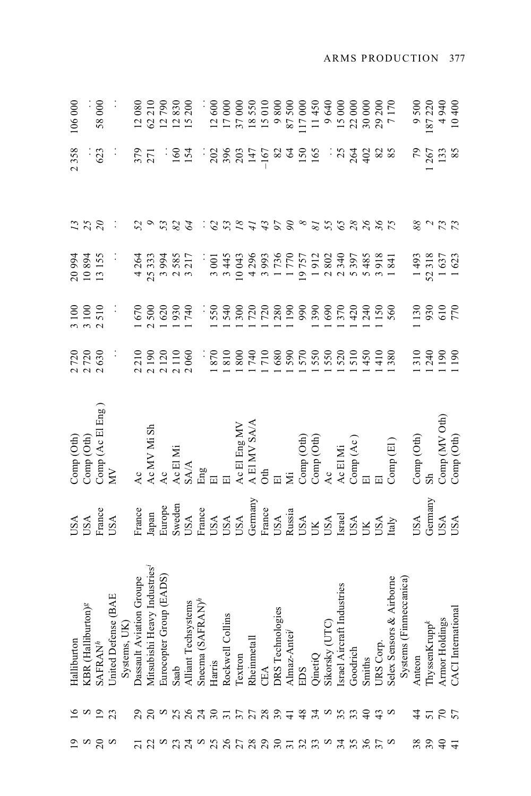| 106 000     |                                                                                         | 58 000                   |                                                   | 12080                    | 62 210                           | 12790                                                                            | 12830 | 200<br>$\overline{15}$                                       |     | 12600           | 17000            | 37000      | 18550                                                                                                                        | 15010  | 9800                                         | 87500            | 117000     | 11450                                                                                                                                                                                                                                                                                                                                                                                                                                                                | 9640           | 15 000                     | 22 000                                                                 | 30 000 | 29 200                  | 7170                                                              | 9500                                                  | 187220                                                                                        | 49400101                                   |                                |
|-------------|-----------------------------------------------------------------------------------------|--------------------------|---------------------------------------------------|--------------------------|----------------------------------|----------------------------------------------------------------------------------|-------|--------------------------------------------------------------|-----|-----------------|------------------|------------|------------------------------------------------------------------------------------------------------------------------------|--------|----------------------------------------------|------------------|------------|----------------------------------------------------------------------------------------------------------------------------------------------------------------------------------------------------------------------------------------------------------------------------------------------------------------------------------------------------------------------------------------------------------------------------------------------------------------------|----------------|----------------------------|------------------------------------------------------------------------|--------|-------------------------|-------------------------------------------------------------------|-------------------------------------------------------|-----------------------------------------------------------------------------------------------|--------------------------------------------|--------------------------------|
| 2358        |                                                                                         | 623                      |                                                   | 379                      | 271                              |                                                                                  | 160   | 154                                                          |     | 202             | 396              |            | 147                                                                                                                          | $-167$ | 82                                           | 64               |            | <b>150</b><br>165                                                                                                                                                                                                                                                                                                                                                                                                                                                    | $\ddot{\cdot}$ |                            | 264                                                                    | 402    | 82                      | 85                                                                | 64                                                    | 267                                                                                           | 133                                        | 85                             |
| $^{13}$     | 25                                                                                      | $\overline{\mathcal{E}}$ |                                                   | 52                       |                                  | 53                                                                               | 82    | 64                                                           |     | $\mathcal{O}$   | 53               | $\sqrt{8}$ | $\ddot{t}$                                                                                                                   | 43     | $\frac{8}{26}$                               |                  | $\infty$   |                                                                                                                                                                                                                                                                                                                                                                                                                                                                      | 81             |                            | $65$ $28$                                                              |        | $26$<br>$36$<br>$75$    |                                                                   | 88                                                    |                                                                                               | $\begin{array}{c} 2 \\ 2 \\ 3 \end{array}$ |                                |
|             | 20994<br>10894                                                                          | 13155                    |                                                   | 4264                     | 25333                            | 3994                                                                             | 585   | 3217                                                         |     | 3 001           | 3445             | 10043      | 4296                                                                                                                         | 3993   | 1736                                         | 1770             | 19757      | 1912                                                                                                                                                                                                                                                                                                                                                                                                                                                                 | 2802           | 2340                       | 5397                                                                   | 5485   | 918                     | 841                                                               | 1493                                                  | 52318                                                                                         | 1637<br>1623                               |                                |
|             | 3 100<br>3 100<br>2 5 10                                                                |                          | $\ddot{\cdot}$                                    |                          | 1670<br>2500                     | 620                                                                              | 930   | 740                                                          |     | 550             |                  |            |                                                                                                                              |        |                                              | $\overline{190}$ | 66         | 390                                                                                                                                                                                                                                                                                                                                                                                                                                                                  | 690            | 370                        | 420                                                                    | 240    | 150                     | 560                                                               | 130                                                   |                                                                                               | 930<br>010<br>770                          |                                |
|             | 2720<br>2720<br>2630                                                                    |                          | $\ddot{\cdot}$                                    | 210                      |                                  | $\begin{array}{c} 0.0000 \\ 0.0000 \\ 0.0000 \\ 0.0000 \\ 0.0000 \\ \end{array}$ |       |                                                              |     | $\frac{0.8}{3}$ | 810              |            | 88<br>05<br>06<br>08<br>08                                                                                                   |        |                                              |                  | 590<br>570 |                                                                                                                                                                                                                                                                                                                                                                                                                                                                      | 550<br>580     |                            | 510                                                                    | 450    | 410                     | 380                                                               |                                                       | $\frac{310}{240}$                                                                             | $\frac{190}{190}$                          |                                |
|             | $\begin{array}{c} \text{Comp} \ (\text{Oth}) \\ \text{Comp} \ (\text{Oth}) \end{array}$ | Comp (Ac El Eng)<br>MV   |                                                   | Ac                       |                                  | Ac MV Mi Sh Ac                                                                   |       | $\begin{array}{ll} \text{Ac EIMi}\\ \text{SAAA} \end{array}$ | Eng |                 | $\overline{\Xi}$ |            | $\begin{array}{lcl} \text{Ac} \to & \text{Eng} \text{MV} \\ \text{A} \to & \text{FIN} \text{SAAA} \\ \text{Oth} \end{array}$ |        | $\overline{\mathbb{E}}$                      | Ä                |            | $\begin{array}{l} \text{Comp (Oth)}\\ \text{Comp (Oth)}\\ \text{Ac} \end{array}$                                                                                                                                                                                                                                                                                                                                                                                     |                | Ac El Mi                   | $\mathop{\mathrm{Comp}}\limits_{\mathrm{El}}\left( \mathrm{Ac}\right)$ |        | $\overline{\mathbf{E}}$ | Comp(E)                                                           | $\operatorname{Comp}\left( \operatorname{Oth}\right)$ | S <sub>h</sub>                                                                                | Comp (MV Oth)                              | Comp (Oth)                     |
|             | <b>ASU</b>                                                                              | France<br>USA            |                                                   | France                   |                                  | Japan<br>Europe<br>Europe<br>Sweden<br>USA<br>USA<br>USA<br>USA<br>USA           |       |                                                              |     |                 |                  |            |                                                                                                                              |        |                                              |                  |            | $\begin{array}{l} \text{Frame} \\ \text{USA} \\ \text{Russia} \\ \text{DISA} \\ \text{USA} \\ \text{USA} \\ \text{MSE} \\ \text{MSE} \\ \text{DCS} \\ \text{MSE} \\ \text{DCS} \\ \text{MSE} \\ \text{DCS} \\ \text{NSE} \\ \text{MSE} \\ \text{MSE} \\ \text{MSE} \\ \text{MSE} \\ \text{MSE} \\ \text{MSE} \\ \text{MSE} \\ \text{MSE} \\ \text{MSE} \\ \text{MSE} \\ \text{MSE} \\ \text{MSE} \\ \text{MSE} \\ \text{MSE} \\ \text{MSE} \\ \text{MSE} \\ \text{M$ |                |                            |                                                                        |        | USA<br>Italy            |                                                                   | <b>USA</b>                                            | Germany                                                                                       | USA<br>USA                                 |                                |
| Halliburton | burton)<br>$\mathcal S$<br>KBR (Hallil                                                  | SAFRAN <sup>h</sup>      | United Defense (BAE<br>Systems, UK)<br>Systems, I | Dassault Aviation Groupe | leavy Industries<br>Mitsubishi I | Group (EADS)<br>Eurocopter                                                       | Saab  | Alliant Techsystems<br>Snecma (SAFRAN)<br>$\!hbar$           |     | Harris          | Rockwell Collins | Textron    | Rheinmetall                                                                                                                  | CEA    | DRS Technologies<br>Almaz-Antei <sup>j</sup> |                  | EDS        | QinetiQ                                                                                                                                                                                                                                                                                                                                                                                                                                                              | Sikorsky (UTC) | Israel Aircraft Industries | Goodrich                                                               | Smiths | URS Corp.               | elex Sensors & Airborne<br>Systems (Finmeccanica)<br>Selex Sensor | Anteon                                                | $\begin{array}{c} \mathrm{ThyssenKrupp}^k \\ \mathrm{Armor} \; \mathrm{Holdings} \end{array}$ |                                            | national<br><b>CACI</b> Intern |
| ٵ           | $\infty$                                                                                | $\overline{0}$           | 23                                                | 29                       |                                  | $\frac{8}{25}$                                                                   |       | $83377$                                                      |     |                 |                  |            | 28948                                                                                                                        |        |                                              |                  |            | 34                                                                                                                                                                                                                                                                                                                                                                                                                                                                   | $\frac{25}{3}$ |                            |                                                                        |        | 43                      | $\infty$                                                          | $\frac{4}{4}$                                         | 51                                                                                            | $\mathcal{L}$                              | 57                             |
| ್ರ          |                                                                                         | $\frac{8}{20}$           |                                                   | $\overline{z}$           |                                  | g ng da ng ng ng ng ng                                                           |       |                                                              |     |                 |                  |            |                                                                                                                              |        |                                              |                  |            | 33                                                                                                                                                                                                                                                                                                                                                                                                                                                                   | S              |                            | 35 <sup>4</sup>                                                        | 36     |                         |                                                                   | 38                                                    | 39                                                                                            | $\overline{4}$                             | $\overline{+}$                 |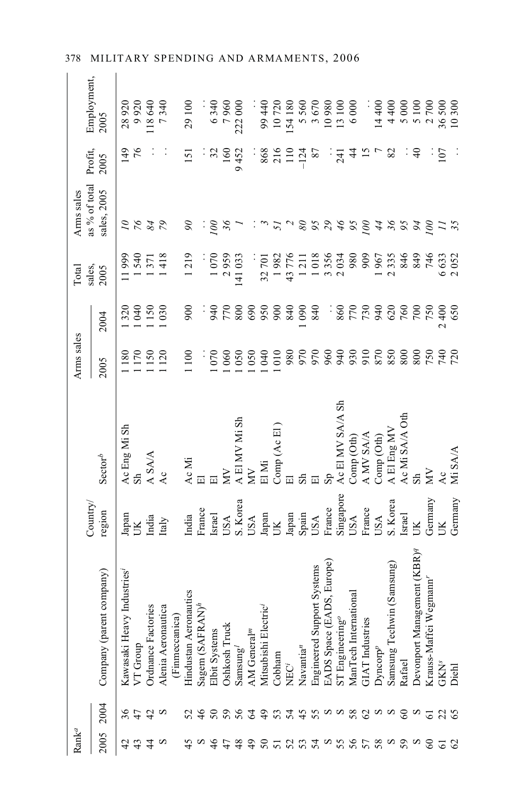| $\mathrm{Rank}^a$ |                        |                                             |                    |                  | Arms sales           |                                  | Total           | Arms sales                   |                  |                     |
|-------------------|------------------------|---------------------------------------------|--------------------|------------------|----------------------|----------------------------------|-----------------|------------------------------|------------------|---------------------|
| 2005              | 2004                   | Company (parent company)                    | Country.<br>region | $Sector^b$       | 2005                 | 2004                             | sales,<br>2005  | as % of total<br>sales, 2005 | Profit,<br>2005  | Employment,<br>2005 |
| 42                | 36                     | adustries <sup>1</sup><br>Kawasaki Heavy I  | Japan              | Ac Eng Mi Sh     | 180                  | 320                              | 11999           | $\overline{\mathcal{L}}$     | 149              | 28920               |
| 43                | 47                     | VT Group                                    | Ж                  |                  | <sup>170</sup>       | 040                              | 540             |                              |                  | 9920                |
| $\frac{4}{3}$     | $\frac{1}{2}$ $\alpha$ | Ordnance Factories                          | India              | A SA/A           | 150                  | 150                              | 371             | 8487                         |                  | 118640              |
| S                 |                        | Alenia Aeronautica                          | Italy              | Ac               | 120                  | 030                              | 418             |                              |                  | 7340                |
|                   |                        | (Finmeccanica)                              |                    |                  |                      |                                  |                 |                              |                  |                     |
| 45                | 52                     | $\prod_{h}$<br>Hindustan Aeronau            | India              | Ac Mi            | 1100                 | 900                              | 1219            | $\infty$                     | $\overline{151}$ | 29 100              |
| $\infty$          | 46                     | Sagem (SAFRAN)                              | France             | 囩                |                      |                                  |                 |                              |                  |                     |
| $\frac{4}{6}$     | $50\,$                 | Elbit Systems                               | <b>Israel</b>      |                  | 070                  | 940                              | 1070            | 00                           |                  | 6340                |
| 47                | 59                     | Oshkosh Truck                               | <b>USA</b>         | Š                | 060                  | 770                              | 2959            | $\mathcal{S}$                | $\frac{60}{2}$   | 7960                |
| 48                | 56                     | $\mathrm{Samsung}'$                         | S. Korea           | A El MV Mi Sh    | 050                  | 800                              | 141 033         |                              | 9452             | 222 000             |
| $\frac{4}{9}$     | $\mathcal{L}$          | AM General <sup>m</sup>                     | <b>USA</b>         | Š                | 050                  | 690                              |                 |                              |                  |                     |
| $50\,$            | $\overline{6}$         | Mitsubishi Electric                         | Japan              | El Mi            | 040                  | 950                              | 32701           |                              | 868              | 99 440              |
| 51                | 53                     | Cobham                                      | <b>XL</b>          | Comp (Ac El      | 1010                 | 900                              | 1982            |                              | 216              | 10720               |
| 52                | 54                     | NEC <sup>i</sup>                            | Japan              |                  | 980                  | 840                              | 43776           |                              | $\Xi$            | 154 180             |
| 53                |                        | $N$ avantia $^n$                            | Spain              |                  | 970                  | 090                              | $\overline{21}$ | $\mathcal{S}$                | $-124$           | 5560                |
| 54                | 45                     | t Systems<br>Engineered Suppor              | USA                |                  | 970                  | 840                              | 1018            | $\mathfrak{c}_{6}$           | 87               | 3670                |
| S                 |                        | 9S, Europe)<br>EADS Space (EA)              | France             | s <sub>p</sub>   | 960                  | :                                | 3356            | $\mathcal{E}_{\mathcal{L}}$  |                  | 10980               |
| 55                | ωω                     | $ST$ Engineering <sup>o</sup>               | Singapore          | Ac El MV SA/A Sh | 940                  |                                  | 2034            | $\frac{9}{5}$                | $\overline{24}$  | 13 100              |
| 56                | 58                     | $\overline{\text{cm}}$<br>ManTech Internati | USA                | Comp (Oth)       |                      | $\frac{0.4}{20}$                 | 980             | 95                           | $\frac{4}{3}$    | 6000                |
| 57                |                        | <b>GIAT</b> Industries                      | France             | A MV SA/A        |                      | 730                              | 909             | 00                           |                  |                     |
| 58                | $a$ a a                | Dyncorp <sup>p</sup>                        | USA                | Comp(Oth)        | 930<br>010<br>07     | 940                              | 1967            | 44                           |                  | 14 400              |
| S                 |                        | (Samsung)<br>Samsung Techwin                | S. Korea           | A El Eng MV      | 850                  | 620                              | 2335            | $\mathcal{S}$                | 82               | 4400                |
| 59                | $\delta$               | Rafael                                      | Israel             | Ac Mi SA/A Oth   | 800                  | 760                              | 846             | 56                           |                  | 5000                |
| S                 | $\infty$               | Devonport Management (KBR) <sup>q</sup>     | $\mathbb{R}$       |                  | 800                  | $\overline{20}$                  | 849             | 94                           | $\partial_0$     | 5 100               |
| 60                | $\overline{61}$        | Krauss-Maffei Wegmann'                      | Germany            | Ř                |                      | 750                              | 746             | 001                          |                  | 2700                |
| 58                | 235                    | <b>GKN<sup>s</sup></b>                      | B                  | Δc               | 05<br>14<br>17<br>17 | $rac{400}{2}$<br>$\mathbf{\sim}$ | 6633            |                              | 107              | 36500               |
|                   |                        | Diehl                                       | Germany            | Mi SA/A          |                      | 650                              | 2052            |                              |                  | 10300               |

### 378 MILITARY SPENDING AND ARMAMENTS, 2006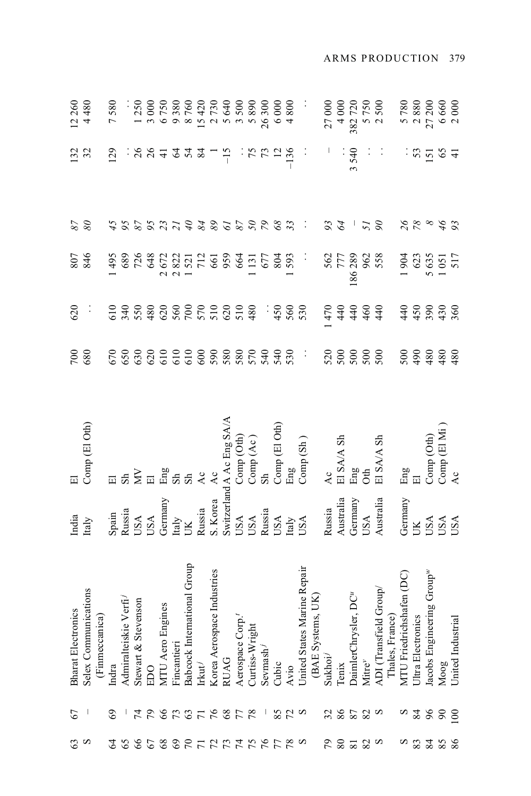| 63             | 67                | <b>Bharat Electronics</b>                                                                  |                                                                                                                                                                                                                                                                                                                                                                                                                                                                           | 囩                                                                                                                                                           | 700                                                                                                                                                                                                                                                                                                                                                                                  | 620      |                                                           |                             | 132            |                                            |
|----------------|-------------------|--------------------------------------------------------------------------------------------|---------------------------------------------------------------------------------------------------------------------------------------------------------------------------------------------------------------------------------------------------------------------------------------------------------------------------------------------------------------------------------------------------------------------------------------------------------------------------|-------------------------------------------------------------------------------------------------------------------------------------------------------------|--------------------------------------------------------------------------------------------------------------------------------------------------------------------------------------------------------------------------------------------------------------------------------------------------------------------------------------------------------------------------------------|----------|-----------------------------------------------------------|-----------------------------|----------------|--------------------------------------------|
| $\infty$       |                   | Selex Communications                                                                       | India<br>Italy                                                                                                                                                                                                                                                                                                                                                                                                                                                            | Comp (El Oth)                                                                                                                                               | 680                                                                                                                                                                                                                                                                                                                                                                                  |          | 846                                                       | $\frac{87}{8}$              | 32             | $12260$<br>4480                            |
|                |                   | (Finmeccanica)                                                                             |                                                                                                                                                                                                                                                                                                                                                                                                                                                                           |                                                                                                                                                             |                                                                                                                                                                                                                                                                                                                                                                                      | ÷,       |                                                           |                             |                |                                            |
|                | 69                | Indra                                                                                      |                                                                                                                                                                                                                                                                                                                                                                                                                                                                           |                                                                                                                                                             |                                                                                                                                                                                                                                                                                                                                                                                      |          | 495                                                       |                             | 129            | 7580                                       |
|                |                   | Admiralteiskie Verfi-                                                                      |                                                                                                                                                                                                                                                                                                                                                                                                                                                                           |                                                                                                                                                             |                                                                                                                                                                                                                                                                                                                                                                                      |          |                                                           |                             |                |                                            |
|                |                   | tevenson<br>Stewart & St                                                                   |                                                                                                                                                                                                                                                                                                                                                                                                                                                                           |                                                                                                                                                             |                                                                                                                                                                                                                                                                                                                                                                                      |          | 689<br>726                                                |                             |                |                                            |
| 81977777788383 | <b>ANSARSHSAR</b> | <b>EDO</b>                                                                                 | $\begin{array}{lcl} \mathbf{Span} \\ \mathbf{Russia} \\ \mathbf{USA} \\ \mathbf{USA} \\ \mathbf{Germany} \\ \mathbf{Germany} \\ \mathbf{IM} \\ \mathbf{I} \\ \mathbf{I} \\ \mathbf{I} \\ \mathbf{I} \\ \mathbf{I} \\ \mathbf{I} \\ \mathbf{I} \\ \mathbf{I} \\ \mathbf{I} \\ \mathbf{I} \\ \mathbf{I} \\ \mathbf{I} \\ \mathbf{I} \\ \mathbf{I} \\ \mathbf{I} \\ \mathbf{I} \\ \mathbf{I} \\ \mathbf{I} \\ \mathbf{I} \\ \mathbf{I} \\ \mathbf{I} \\ \mathbf{I} \\ \math$ | $\boxdot$ $\cong$ $\sum$ $\boxdot$ $\mathbb{E}$ $\cong$ $\mathbb{E}$ $\cong$ $\cong$ $\cong$ $\cong$ $\cong$                                                | ${\tiny\begin{array}{l} \texttt{C.530} \\ \texttt{C.660} \\ \texttt{C.760} \\ \texttt{D.870} \\ \texttt{D.880} \\ \texttt{D.890} \\ \texttt{E.900} \\ \texttt{E.900} \\ \texttt{E.900} \\ \texttt{E.900} \\ \texttt{E.900} \\ \texttt{E.900} \\ \texttt{E.900} \\ \texttt{E.900} \\ \texttt{E.900} \\ \texttt{E.900} \\ \texttt{E.900} \\ \texttt{E.900} \\ \texttt{E.900} \\ \text$ |          | 648                                                       | 498921488685688             | 38.7242        | 1250<br>3000                               |
|                |                   | MTU Aero Engines                                                                           |                                                                                                                                                                                                                                                                                                                                                                                                                                                                           |                                                                                                                                                             |                                                                                                                                                                                                                                                                                                                                                                                      |          |                                                           |                             |                | 6 750<br>9 380<br>8 760<br>8 420<br>15 420 |
|                |                   | Fincantieri                                                                                |                                                                                                                                                                                                                                                                                                                                                                                                                                                                           |                                                                                                                                                             |                                                                                                                                                                                                                                                                                                                                                                                      |          |                                                           |                             |                |                                            |
|                |                   | Babcock International Group                                                                |                                                                                                                                                                                                                                                                                                                                                                                                                                                                           |                                                                                                                                                             |                                                                                                                                                                                                                                                                                                                                                                                      |          |                                                           |                             |                |                                            |
|                |                   | Irkut <sup>j</sup>                                                                         |                                                                                                                                                                                                                                                                                                                                                                                                                                                                           |                                                                                                                                                             |                                                                                                                                                                                                                                                                                                                                                                                      |          |                                                           |                             |                |                                            |
|                |                   | Korea Aerospace Industries                                                                 |                                                                                                                                                                                                                                                                                                                                                                                                                                                                           |                                                                                                                                                             |                                                                                                                                                                                                                                                                                                                                                                                      |          | 2672<br>2822<br>1521<br>712<br>659                        |                             |                | 2730<br>5640                               |
|                |                   | RUAG                                                                                       |                                                                                                                                                                                                                                                                                                                                                                                                                                                                           |                                                                                                                                                             |                                                                                                                                                                                                                                                                                                                                                                                      |          |                                                           |                             | $-15$          |                                            |
|                |                   |                                                                                            |                                                                                                                                                                                                                                                                                                                                                                                                                                                                           |                                                                                                                                                             |                                                                                                                                                                                                                                                                                                                                                                                      |          | 664                                                       |                             |                | 3500                                       |
|                |                   | $\begin{array}{ll} \mbox{Aerospace } \mbox{Comp.}^t \\ \mbox{Curtiss-Wright} \end{array}$  |                                                                                                                                                                                                                                                                                                                                                                                                                                                                           |                                                                                                                                                             |                                                                                                                                                                                                                                                                                                                                                                                      |          |                                                           |                             |                | 5890                                       |
|                |                   | Sevmash <sup>/</sup>                                                                       |                                                                                                                                                                                                                                                                                                                                                                                                                                                                           |                                                                                                                                                             |                                                                                                                                                                                                                                                                                                                                                                                      |          |                                                           |                             |                | 26300                                      |
|                |                   | Cubic                                                                                      |                                                                                                                                                                                                                                                                                                                                                                                                                                                                           |                                                                                                                                                             |                                                                                                                                                                                                                                                                                                                                                                                      | $-360$   | $131$<br>677<br>804                                       |                             | : 7571         | 6000                                       |
|                | 870               | Avio                                                                                       |                                                                                                                                                                                                                                                                                                                                                                                                                                                                           |                                                                                                                                                             |                                                                                                                                                                                                                                                                                                                                                                                      |          | 593                                                       |                             |                | 4800                                       |
|                |                   | United States Marine Repair                                                                |                                                                                                                                                                                                                                                                                                                                                                                                                                                                           | Russia<br>S. Korea Ac<br>S. Korea Ac<br>Switzerland A Ac Eng SA/A<br>USA Comp (Oth)<br>USA Comp (Ac)<br>Nussia<br>Sh Comp (El Oth)<br>Italy Eng<br>Haly Eng | $\mathcal{L}_{\mathcal{A}}$                                                                                                                                                                                                                                                                                                                                                          | 530      | $\ddot{\cdot}$                                            | $\mathcal{L}_{\mathcal{A}}$ | $\ddot{\cdot}$ | Ĩ,                                         |
|                |                   | (BAE Systems, UK)                                                                          |                                                                                                                                                                                                                                                                                                                                                                                                                                                                           |                                                                                                                                                             |                                                                                                                                                                                                                                                                                                                                                                                      |          |                                                           |                             |                |                                            |
| 56             |                   | Sukhoi                                                                                     | Russia                                                                                                                                                                                                                                                                                                                                                                                                                                                                    | Ac                                                                                                                                                          |                                                                                                                                                                                                                                                                                                                                                                                      |          |                                                           | 83                          |                | 27000                                      |
| 803            |                   | Tenix                                                                                      |                                                                                                                                                                                                                                                                                                                                                                                                                                                                           | El SA/A Sh                                                                                                                                                  |                                                                                                                                                                                                                                                                                                                                                                                      |          |                                                           |                             | $\ddot{\cdot}$ | 4000                                       |
|                |                   | DaimlerChrysler, DC <sup>u</sup>                                                           |                                                                                                                                                                                                                                                                                                                                                                                                                                                                           | Eng<br>Oth                                                                                                                                                  |                                                                                                                                                                                                                                                                                                                                                                                      |          |                                                           |                             | 3540           |                                            |
|                | 28520             | Mitre <sup>y</sup>                                                                         | Australia<br>Germany<br>USA                                                                                                                                                                                                                                                                                                                                                                                                                                               |                                                                                                                                                             |                                                                                                                                                                                                                                                                                                                                                                                      |          |                                                           | 57                          | $\vdots$       | 382720<br>5750                             |
| $\infty$       |                   | ADI (Transfield Group/<br>Thales, France)<br>MTU Friedrichshafen (DC)<br>Ultra Electronics | Australia                                                                                                                                                                                                                                                                                                                                                                                                                                                                 | El SA/A Sh                                                                                                                                                  |                                                                                                                                                                                                                                                                                                                                                                                      | 64444    | 562<br>777<br>186 289<br>962<br>958                       |                             | $\ddot{\cdot}$ | 2500                                       |
|                |                   |                                                                                            |                                                                                                                                                                                                                                                                                                                                                                                                                                                                           |                                                                                                                                                             |                                                                                                                                                                                                                                                                                                                                                                                      |          |                                                           |                             |                |                                            |
|                |                   |                                                                                            |                                                                                                                                                                                                                                                                                                                                                                                                                                                                           | $\mathbb{H}$ $\mathbb{H}$                                                                                                                                   |                                                                                                                                                                                                                                                                                                                                                                                      |          | 1904                                                      |                             |                |                                            |
| 83             | 84                |                                                                                            |                                                                                                                                                                                                                                                                                                                                                                                                                                                                           |                                                                                                                                                             |                                                                                                                                                                                                                                                                                                                                                                                      |          |                                                           |                             |                |                                            |
|                | 66                | Jacobs Engineering Group <sup>w</sup>                                                      | Germany<br>UK<br>USA<br>USA<br>USA                                                                                                                                                                                                                                                                                                                                                                                                                                        | $\begin{array}{l} \text{Comp (Oth)}\\ \text{Comp (El Mi)}\\ \text{Ac} \end{array}$                                                                          |                                                                                                                                                                                                                                                                                                                                                                                      | 44222828 | $\begin{array}{c} 623 \\ 5635 \\ 1051 \\ 517 \end{array}$ | 28892                       | : 252          | 5 780<br>2 880<br>27 200                   |
| <b>2588</b>    |                   | Moog                                                                                       |                                                                                                                                                                                                                                                                                                                                                                                                                                                                           |                                                                                                                                                             |                                                                                                                                                                                                                                                                                                                                                                                      |          |                                                           |                             |                | 6 660<br>2 000                             |
|                | $\infty$          | United Industrial                                                                          |                                                                                                                                                                                                                                                                                                                                                                                                                                                                           |                                                                                                                                                             |                                                                                                                                                                                                                                                                                                                                                                                      |          |                                                           |                             |                |                                            |

#### ARMS PRODUCTION 379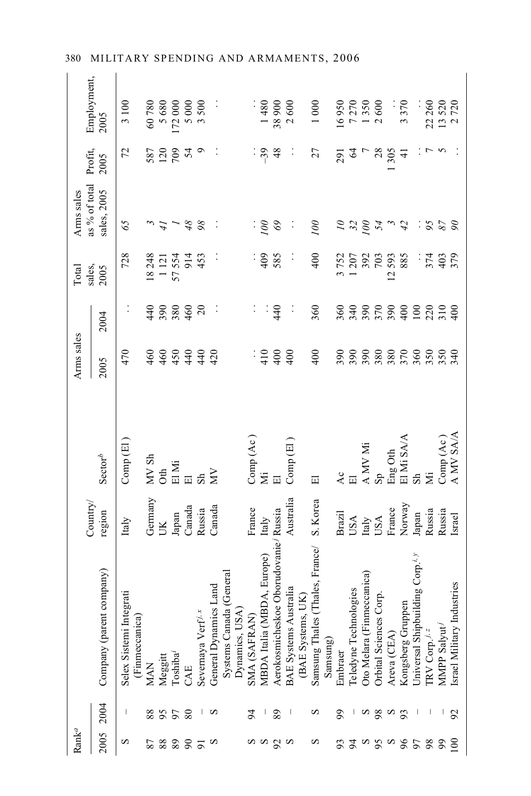### 380 MILITARY SPENDING AND ARMAMENTS, 2006